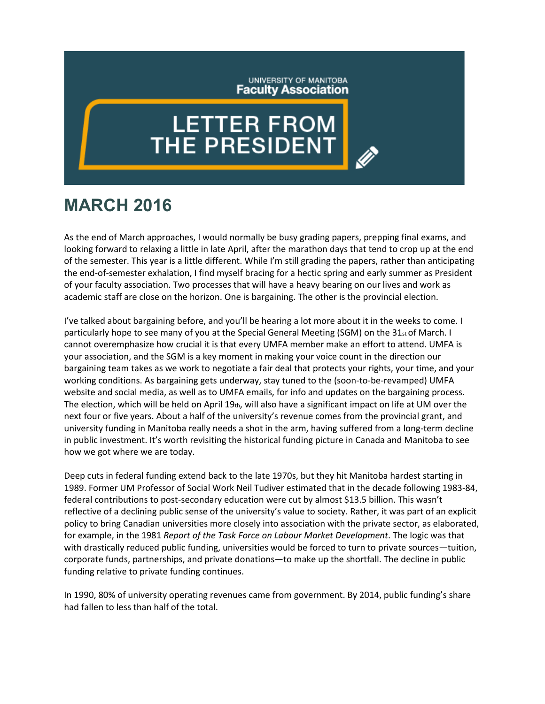## UNIVERSITY OF MANITOBA **Faculty Association**

## **LETTER FROM**<br>THE PRESIDENT

## **MARCH 2016**

As the end of March approaches, I would normally be busy grading papers, prepping final exams, and looking forward to relaxing a little in late April, after the marathon days that tend to crop up at the end of the semester. This year is a little different. While I'm still grading the papers, rather than anticipating the end-of-semester exhalation, I find myself bracing for a hectic spring and early summer as President of your faculty association. Two processes that will have a heavy bearing on our lives and work as academic staff are close on the horizon. One is bargaining. The other is the provincial election.

I've talked about bargaining before, and you'll be hearing a lot more about it in the weeks to come. I particularly hope to see many of you at the Special General Meeting (SGM) on the  $31<sub>st</sub>$  of March. I cannot overemphasize how crucial it is that every UMFA member make an effort to attend. UMFA is your association, and the SGM is a key moment in making your voice count in the direction our bargaining team takes as we work to negotiate a fair deal that protects your rights, your time, and your working conditions. As bargaining gets underway, stay tuned to the (soon-to-be-revamped) UMFA website and social media, as well as to UMFA emails, for info and updates on the bargaining process. The election, which will be held on April 19th, will also have a significant impact on life at UM over the next four or five years. About a half of the university's revenue comes from the provincial grant, and university funding in Manitoba really needs a shot in the arm, having suffered from a long-term decline in public investment. It's worth revisiting the historical funding picture in Canada and Manitoba to see how we got where we are today.

Deep cuts in federal funding extend back to the late 1970s, but they hit Manitoba hardest starting in 1989. Former UM Professor of Social Work Neil Tudiver estimated that in the decade following 1983-84, federal contributions to post-secondary education were cut by almost \$13.5 billion. This wasn't reflective of a declining public sense of the university's value to society. Rather, it was part of an explicit policy to bring Canadian universities more closely into association with the private sector, as elaborated, for example, in the 1981 *Report of the Task Force on Labour Market Development*. The logic was that with drastically reduced public funding, universities would be forced to turn to private sources—tuition, corporate funds, partnerships, and private donations—to make up the shortfall. The decline in public funding relative to private funding continues.

In 1990, 80% of university operating revenues came from government. By 2014, public funding's share had fallen to less than half of the total.